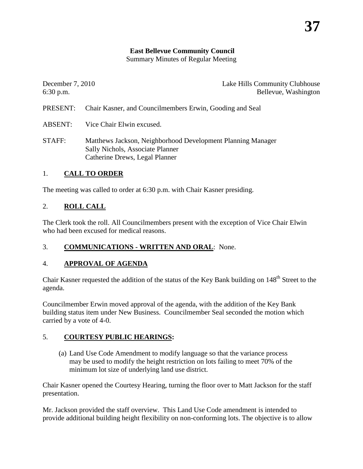#### **East Bellevue Community Council**

Summary Minutes of Regular Meeting

| December 7, 2010<br>$6:30$ p.m. | Lake Hills Community Clubhouse<br>Bellevue, Washington                                                                            |
|---------------------------------|-----------------------------------------------------------------------------------------------------------------------------------|
| PRESENT:                        | Chair Kasner, and Councilmembers Erwin, Gooding and Seal                                                                          |
| ABSENT:                         | Vice Chair Elwin excused.                                                                                                         |
| STAFF:                          | Matthews Jackson, Neighborhood Development Planning Manager<br>Sally Nichols, Associate Planner<br>Catherine Drews, Legal Planner |

#### 1. **CALL TO ORDER**

The meeting was called to order at 6:30 p.m. with Chair Kasner presiding.

#### 2. **ROLL CALL**

The Clerk took the roll. All Councilmembers present with the exception of Vice Chair Elwin who had been excused for medical reasons.

## 3. **COMMUNICATIONS - WRITTEN AND ORAL**: None.

## 4. **APPROVAL OF AGENDA**

Chair Kasner requested the addition of the status of the Key Bank building on 148<sup>th</sup> Street to the agenda.

Councilmember Erwin moved approval of the agenda, with the addition of the Key Bank building status item under New Business. Councilmember Seal seconded the motion which carried by a vote of 4-0.

## 5. **COURTESY PUBLIC HEARINGS:**

(a) Land Use Code Amendment to modify language so that the variance process may be used to modify the height restriction on lots failing to meet 70% of the minimum lot size of underlying land use district.

Chair Kasner opened the Courtesy Hearing, turning the floor over to Matt Jackson for the staff presentation.

Mr. Jackson provided the staff overview. This Land Use Code amendment is intended to provide additional building height flexibility on non-conforming lots. The objective is to allow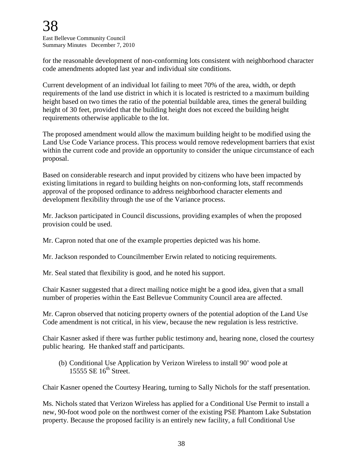for the reasonable development of non-conforming lots consistent with neighborhood character code amendments adopted last year and individual site conditions.

Current development of an individual lot failing to meet 70% of the area, width, or depth requirements of the land use district in which it is located is restricted to a maximum building height based on two times the ratio of the potential buildable area, times the general building height of 30 feet, provided that the building height does not exceed the building height requirements otherwise applicable to the lot.

The proposed amendment would allow the maximum building height to be modified using the Land Use Code Variance process. This process would remove redevelopment barriers that exist within the current code and provide an opportunity to consider the unique circumstance of each proposal.

Based on considerable research and input provided by citizens who have been impacted by existing limitations in regard to building heights on non-conforming lots, staff recommends approval of the proposed ordinance to address neighborhood character elements and development flexibility through the use of the Variance process.

Mr. Jackson participated in Council discussions, providing examples of when the proposed provision could be used.

Mr. Capron noted that one of the example properties depicted was his home.

Mr. Jackson responded to Councilmember Erwin related to noticing requirements.

Mr. Seal stated that flexibility is good, and he noted his support.

Chair Kasner suggested that a direct mailing notice might be a good idea, given that a small number of properies within the East Bellevue Community Council area are affected.

Mr. Capron observed that noticing property owners of the potential adoption of the Land Use Code amendment is not critical, in his view, because the new regulation is less restrictive.

Chair Kasner asked if there was further public testimony and, hearing none, closed the courtesy public hearing. He thanked staff and participants.

(b) Conditional Use Application by Verizon Wireless to install 90' wood pole at 15555 SE  $16<sup>th</sup>$  Street.

Chair Kasner opened the Courtesy Hearing, turning to Sally Nichols for the staff presentation.

Ms. Nichols stated that Verizon Wireless has applied for a Conditional Use Permit to install a new, 90-foot wood pole on the northwest corner of the existing PSE Phantom Lake Substation property. Because the proposed facility is an entirely new facility, a full Conditional Use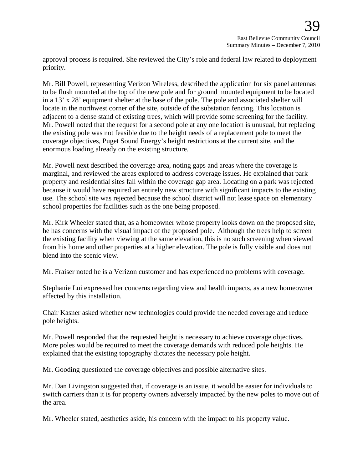approval process is required. She reviewed the City's role and federal law related to deployment priority.

Mr. Bill Powell, representing Verizon Wireless, described the application for six panel antennas to be flush mounted at the top of the new pole and for ground mounted equipment to be located in a 13' x 28' equipment shelter at the base of the pole. The pole and associated shelter will locate in the northwest corner of the site, outside of the substation fencing. This location is adjacent to a dense stand of existing trees, which will provide some screening for the facility. Mr. Powell noted that the request for a second pole at any one location is unusual, but replacing the existing pole was not feasible due to the height needs of a replacement pole to meet the coverage objectives, Puget Sound Energy's height restrictions at the current site, and the enormous loading already on the existing structure.

Mr. Powell next described the coverage area, noting gaps and areas where the coverage is marginal, and reviewed the areas explored to address coverage issues. He explained that park property and residential sites fall within the coverage gap area. Locating on a park was rejected because it would have required an entirely new structure with significant impacts to the existing use. The school site was rejected because the school district will not lease space on elementary school properties for facilities such as the one being proposed.

Mr. Kirk Wheeler stated that, as a homeowner whose property looks down on the proposed site, he has concerns with the visual impact of the proposed pole. Although the trees help to screen the existing facility when viewing at the same elevation, this is no such screening when viewed from his home and other properties at a higher elevation. The pole is fully visible and does not blend into the scenic view.

Mr. Fraiser noted he is a Verizon customer and has experienced no problems with coverage.

Stephanie Lui expressed her concerns regarding view and health impacts, as a new homeowner affected by this installation.

Chair Kasner asked whether new technologies could provide the needed coverage and reduce pole heights.

Mr. Powell responded that the requested height is necessary to achieve coverage objectives. More poles would be required to meet the coverage demands with reduced pole heights. He explained that the existing topography dictates the necessary pole height.

Mr. Gooding questioned the coverage objectives and possible alternative sites.

Mr. Dan Livingston suggested that, if coverage is an issue, it would be easier for individuals to switch carriers than it is for property owners adversely impacted by the new poles to move out of the area.

Mr. Wheeler stated, aesthetics aside, his concern with the impact to his property value.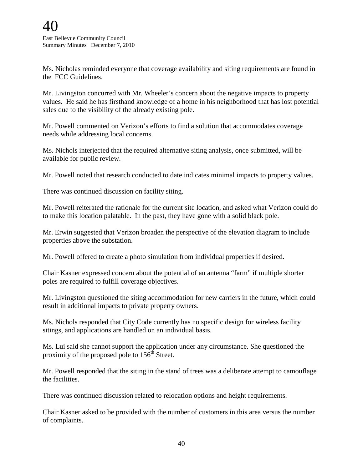Ms. Nicholas reminded everyone that coverage availability and siting requirements are found in the FCC Guidelines.

Mr. Livingston concurred with Mr. Wheeler's concern about the negative impacts to property values. He said he has firsthand knowledge of a home in his neighborhood that has lost potential sales due to the visibility of the already existing pole.

Mr. Powell commented on Verizon's efforts to find a solution that accommodates coverage needs while addressing local concerns.

Ms. Nichols interjected that the required alternative siting analysis, once submitted, will be available for public review.

Mr. Powell noted that research conducted to date indicates minimal impacts to property values.

There was continued discussion on facility siting.

Mr. Powell reiterated the rationale for the current site location, and asked what Verizon could do to make this location palatable. In the past, they have gone with a solid black pole.

Mr. Erwin suggested that Verizon broaden the perspective of the elevation diagram to include properties above the substation.

Mr. Powell offered to create a photo simulation from individual properties if desired.

Chair Kasner expressed concern about the potential of an antenna "farm" if multiple shorter poles are required to fulfill coverage objectives.

Mr. Livingston questioned the siting accommodation for new carriers in the future, which could result in additional impacts to private property owners.

Ms. Nichols responded that City Code currently has no specific design for wireless facility sitings, and applications are handled on an individual basis.

Ms. Lui said she cannot support the application under any circumstance. She questioned the proximity of the proposed pole to  $156<sup>th</sup>$  Street.

Mr. Powell responded that the siting in the stand of trees was a deliberate attempt to camouflage the facilities.

There was continued discussion related to relocation options and height requirements.

Chair Kasner asked to be provided with the number of customers in this area versus the number of complaints.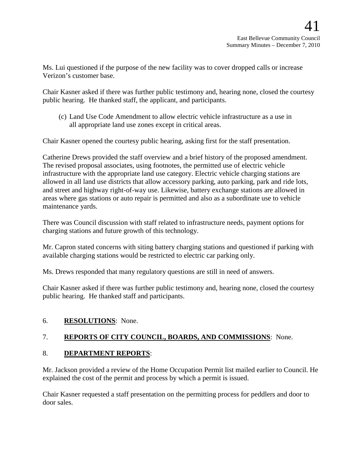Ms. Lui questioned if the purpose of the new facility was to cover dropped calls or increase Verizon's customer base.

Chair Kasner asked if there was further public testimony and, hearing none, closed the courtesy public hearing. He thanked staff, the applicant, and participants.

(c) Land Use Code Amendment to allow electric vehicle infrastructure as a use in all appropriate land use zones except in critical areas.

Chair Kasner opened the courtesy public hearing, asking first for the staff presentation.

Catherine Drews provided the staff overview and a brief history of the proposed amendment. The revised proposal associates, using footnotes, the permitted use of electric vehicle infrastructure with the appropriate land use category. Electric vehicle charging stations are allowed in all land use districts that allow accessory parking, auto parking, park and ride lots, and street and highway right-of-way use. Likewise, battery exchange stations are allowed in areas where gas stations or auto repair is permitted and also as a subordinate use to vehicle maintenance yards.

There was Council discussion with staff related to infrastructure needs, payment options for charging stations and future growth of this technology.

Mr. Capron stated concerns with siting battery charging stations and questioned if parking with available charging stations would be restricted to electric car parking only.

Ms. Drews responded that many regulatory questions are still in need of answers.

Chair Kasner asked if there was further public testimony and, hearing none, closed the courtesy public hearing. He thanked staff and participants.

## 6. **RESOLUTIONS**: None.

# 7. **REPORTS OF CITY COUNCIL, BOARDS, AND COMMISSIONS**: None.

## 8. **DEPARTMENT REPORTS**:

Mr. Jackson provided a review of the Home Occupation Permit list mailed earlier to Council. He explained the cost of the permit and process by which a permit is issued.

Chair Kasner requested a staff presentation on the permitting process for peddlers and door to door sales.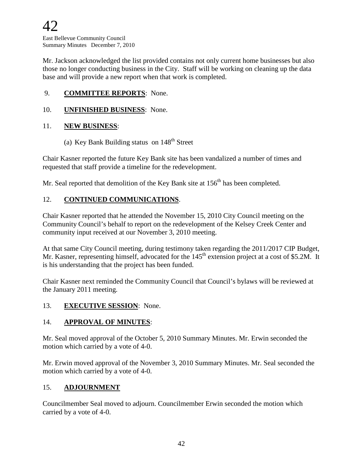Mr. Jackson acknowledged the list provided contains not only current home businesses but also those no longer conducting business in the City. Staff will be working on cleaning up the data base and will provide a new report when that work is completed.

# 9. **COMMITTEE REPORTS**: None.

#### 10. **UNFINISHED BUSINESS**: None.

#### 11. **NEW BUSINESS**:

(a) Key Bank Building status on  $148<sup>th</sup>$  Street

Chair Kasner reported the future Key Bank site has been vandalized a number of times and requested that staff provide a timeline for the redevelopment.

Mr. Seal reported that demolition of the Key Bank site at 156<sup>th</sup> has been completed.

## 12. **CONTINUED COMMUNICATIONS**.

Chair Kasner reported that he attended the November 15, 2010 City Council meeting on the Community Council's behalf to report on the redevelopment of the Kelsey Creek Center and community input received at our November 3, 2010 meeting.

At that same City Council meeting, during testimony taken regarding the 2011/2017 CIP Budget, Mr. Kasner, representing himself, advocated for the 145<sup>th</sup> extension project at a cost of \$5.2M. It is his understanding that the project has been funded.

Chair Kasner next reminded the Community Council that Council's bylaws will be reviewed at the January 2011 meeting.

#### 13. **EXECUTIVE SESSION**: None.

## 14. **APPROVAL OF MINUTES**:

Mr. Seal moved approval of the October 5, 2010 Summary Minutes. Mr. Erwin seconded the motion which carried by a vote of 4-0.

Mr. Erwin moved approval of the November 3, 2010 Summary Minutes. Mr. Seal seconded the motion which carried by a vote of 4-0.

## 15. **ADJOURNMENT**

Councilmember Seal moved to adjourn. Councilmember Erwin seconded the motion which carried by a vote of 4-0.